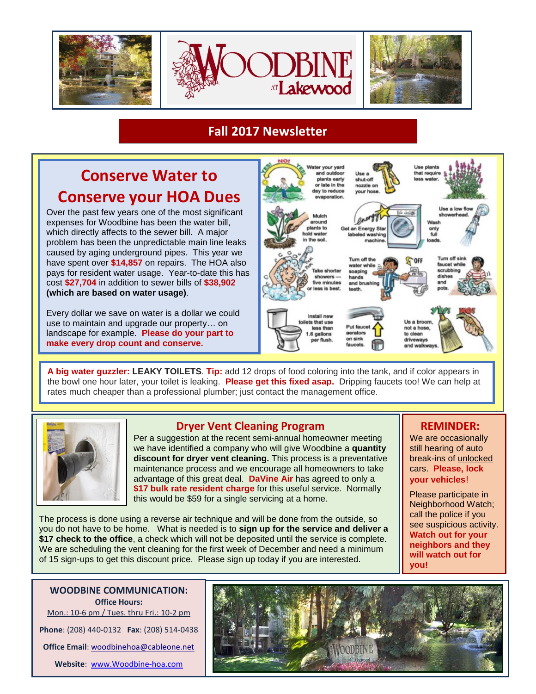

# **Fall 2017 Newsletter**

# **Conserve Water to Conserve your HOA Dues**

Over the past few years one of the most significant expenses for Woodbine has been the water bill, which directly affects to the sewer bill. A major problem has been the unpredictable main line leaks caused by aging underground pipes. This year we have spent over **\$14,857** on repairs. The HOA also pays for resident water usage. Year-to-date this has cost **\$27,704** in addition to sewer bills of **\$38,902 (which are based on water usage)**.

Every dollar we save on water is a dollar we could use to maintain and upgrade our property… on landscape for example. **Please do your part to make every drop count and conserve.**



**A big water guzzler: LEAKY TOILETS**. **Tip:** add 12 drops of food coloring into the tank, and if color appears in the bowl one hour later, your toilet is leaking. **Please get this fixed asap.** Dripping faucets too! We can help at rates much cheaper than a professional plumber; just contact the management office.



## **Dryer Vent Cleaning Program**

Per a suggestion at the recent semi-annual homeowner meeting we have identified a company who will give Woodbine a **quantity discount for dryer vent cleaning.** This process is a preventative maintenance process and we encourage all homeowners to take advantage of this great deal. **DaVine Air** has agreed to only a **\$17 bulk rate resident charge** for this useful service. Normally this would be \$59 for a single servicing at a home.

 **REMINDER:** 

We are occasionally still hearing of auto break-ins of unlocked cars. **Please, lock your vehicles**!

Please participate in Neighborhood Watch; call the police if you see suspicious activity. **Watch out for your neighbors and they will watch out for you!**

The process is done using a reverse air technique and will be done from the outside, so you do not have to be home. What is needed is to **sign up for the service and deliver a \$17 check to the office**, a check which will not be deposited until the service is complete. We are scheduling the vent cleaning for the first week of December and need a minimum of 15 sign-ups to get this discount price. Please sign up today if you are interested.

**WOODBINE COMMUNICATION: Office Hours:** Mon.: 10-6 pm / Tues. thru Fri.: 10-2 pm **Phone**: (208) 440-0132 **Fax**: (208) 514-0438 **Office Email**: [woodbinehoa@cableone.net](mailto:woodbinehoa@cableone.net) **Website**: [www.Woodbine-hoa.com](http://www.woodbine-hoa.com/)